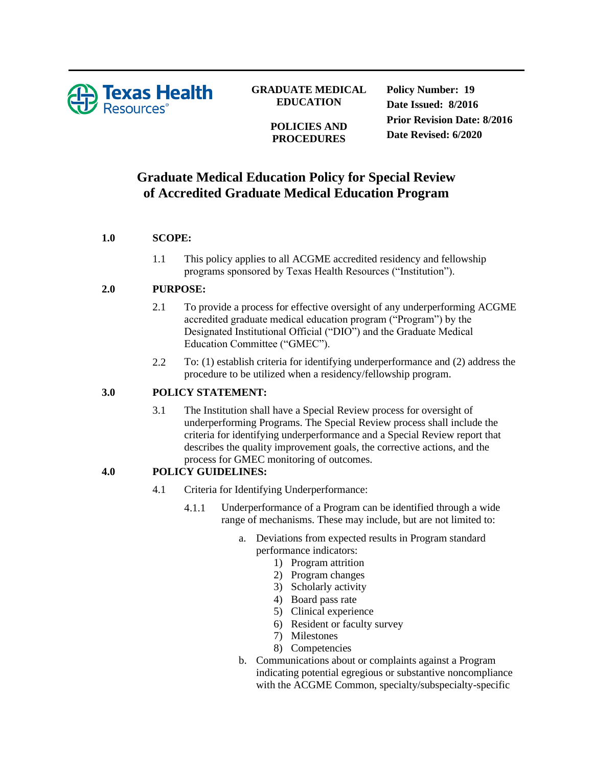

## **GRADUATE MEDICAL EDUCATION**

#### **POLICIES AND PROCEDURES**

**Policy Number: 19 Date Issued: 8/2016 Prior Revision Date: 8/2016 Date Revised: 6/2020**

# **Graduate Medical Education Policy for Special Review of Accredited Graduate Medical Education Program**

## **1.0 SCOPE:**

1.1 This policy applies to all ACGME accredited residency and fellowship programs sponsored by Texas Health Resources ("Institution").

#### **2.0 PURPOSE:**

- 2.1 To provide a process for effective oversight of any underperforming ACGME accredited graduate medical education program ("Program") by the Designated Institutional Official ("DIO") and the Graduate Medical Education Committee ("GMEC").
- 2.2 To: (1) establish criteria for identifying underperformance and (2) address the procedure to be utilized when a residency/fellowship program.

#### **3.0 POLICY STATEMENT:**

3.1 The Institution shall have a Special Review process for oversight of underperforming Programs. The Special Review process shall include the criteria for identifying underperformance and a Special Review report that describes the quality improvement goals, the corrective actions, and the process for GMEC monitoring of outcomes.

## **4.0 POLICY GUIDELINES:**

- 4.1 Criteria for Identifying Underperformance:
	- 4.1.1 Underperformance of a Program can be identified through a wide range of mechanisms. These may include, but are not limited to:
		- a. Deviations from expected results in Program standard performance indicators:
			- 1) Program attrition
			- 2) Program changes
			- 3) Scholarly activity
			- 4) Board pass rate
			- 5) Clinical experience
			- 6) Resident or faculty survey
			- 7) Milestones
			- 8) Competencies
		- b. Communications about or complaints against a Program indicating potential egregious or substantive noncompliance with the ACGME Common, specialty/subspecialty-specific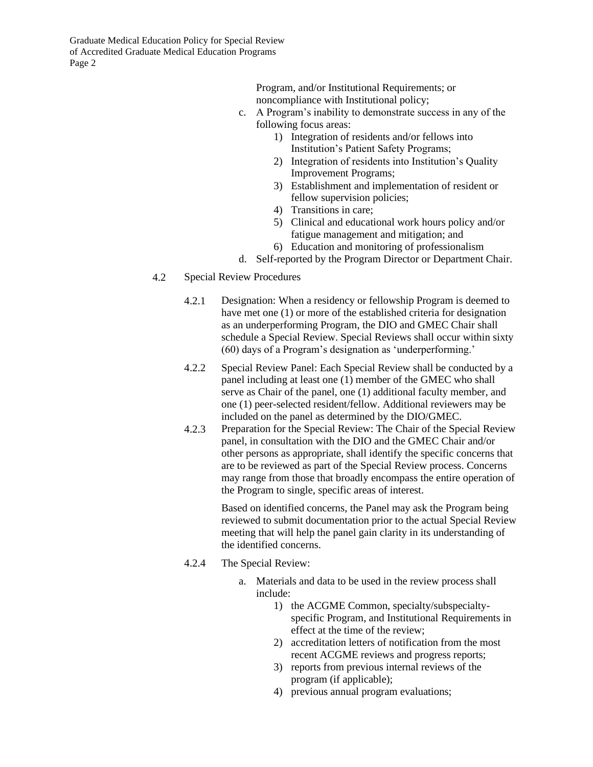Graduate Medical Education Policy for Special Review of Accredited Graduate Medical Education Programs Page 2

> Program, and/or Institutional Requirements; or noncompliance with Institutional policy;

- c. A Program's inability to demonstrate success in any of the following focus areas:
	- 1) Integration of residents and/or fellows into Institution's Patient Safety Programs;
	- 2) Integration of residents into Institution's Quality Improvement Programs;
	- 3) Establishment and implementation of resident or fellow supervision policies;
	- 4) Transitions in care;
	- 5) Clinical and educational work hours policy and/or fatigue management and mitigation; and
	- 6) Education and monitoring of professionalism
- d. Self-reported by the Program Director or Department Chair.
- 4.2 Special Review Procedures
	- 4.2.1 Designation: When a residency or fellowship Program is deemed to have met one (1) or more of the established criteria for designation as an underperforming Program, the DIO and GMEC Chair shall schedule a Special Review. Special Reviews shall occur within sixty (60) days of a Program's designation as 'underperforming.'
	- 4.2.2 Special Review Panel: Each Special Review shall be conducted by a panel including at least one (1) member of the GMEC who shall serve as Chair of the panel, one (1) additional faculty member, and one (1) peer-selected resident/fellow. Additional reviewers may be included on the panel as determined by the DIO/GMEC.
	- 4.2.3 Preparation for the Special Review: The Chair of the Special Review panel, in consultation with the DIO and the GMEC Chair and/or other persons as appropriate, shall identify the specific concerns that are to be reviewed as part of the Special Review process. Concerns may range from those that broadly encompass the entire operation of the Program to single, specific areas of interest.

Based on identified concerns, the Panel may ask the Program being reviewed to submit documentation prior to the actual Special Review meeting that will help the panel gain clarity in its understanding of the identified concerns.

- 4.2.4 The Special Review:
	- a. Materials and data to be used in the review process shall include:
		- 1) the ACGME Common, specialty/subspecialtyspecific Program, and Institutional Requirements in effect at the time of the review;
		- 2) accreditation letters of notification from the most recent ACGME reviews and progress reports;
		- 3) reports from previous internal reviews of the program (if applicable);
		- 4) previous annual program evaluations;